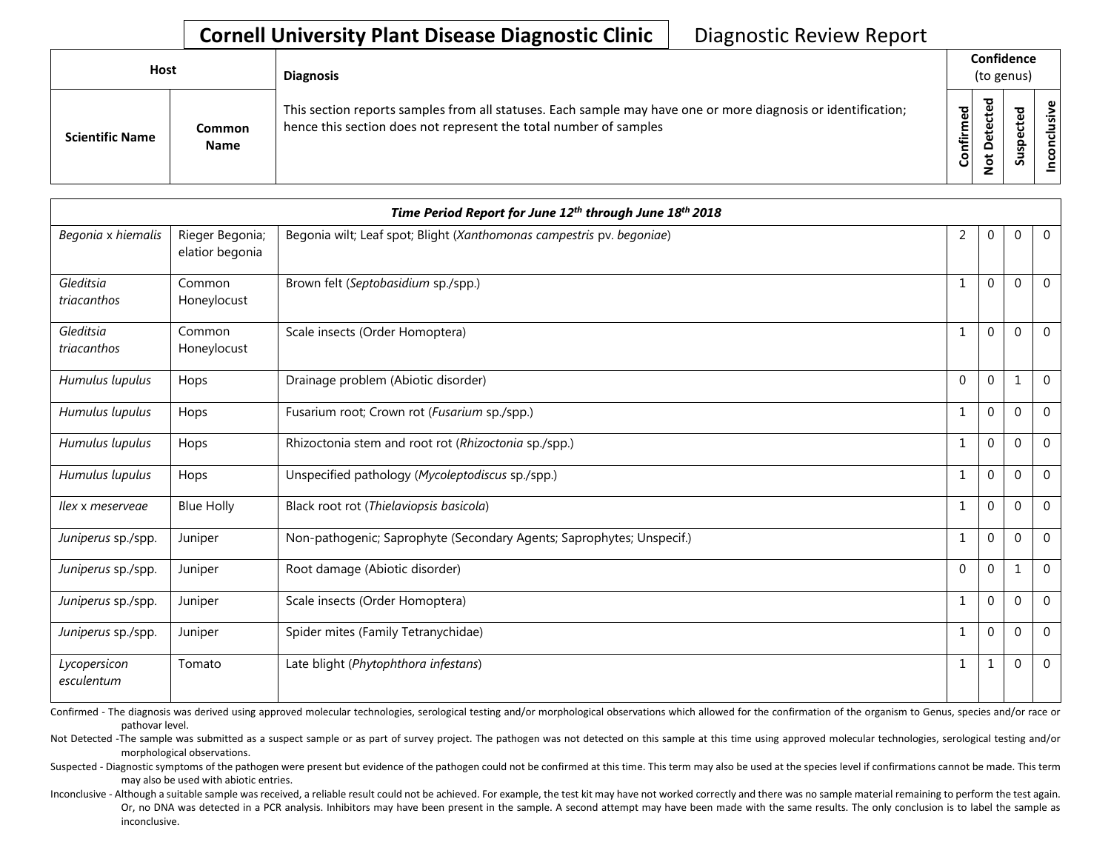## **Cornell University Plant Disease Diagnostic Clinic** | Diagnostic Review Report

| Host                   |                       | <b>Diagnosis</b>                                                                                                                                                                   |           | Confidence<br>(to genus)          |        |                     |  |  |
|------------------------|-----------------------|------------------------------------------------------------------------------------------------------------------------------------------------------------------------------------|-----------|-----------------------------------|--------|---------------------|--|--|
| <b>Scientific Name</b> | Common<br><b>Name</b> | This section reports samples from all statuses. Each sample may have one or more diagnosis or identification;<br>hence this section does not represent the total number of samples | Confirmed | ᇃ<br>Φ<br>ã<br>$\Omega$<br>پ<br>z | o<br>n | Φ<br>usiv<br>ত<br>ဒ |  |  |

| Time Period Report for June 12th through June 18th 2018 |                                    |                                                                       |              |          |              |                |  |
|---------------------------------------------------------|------------------------------------|-----------------------------------------------------------------------|--------------|----------|--------------|----------------|--|
| Begonia x hiemalis                                      | Rieger Begonia;<br>elatior begonia | Begonia wilt; Leaf spot; Blight (Xanthomonas campestris pv. begoniae) | 2            | 0        | 0            | $\overline{0}$ |  |
| Gleditsia<br>triacanthos                                | Common<br>Honeylocust              | Brown felt (Septobasidium sp./spp.)                                   | 1            | 0        | $\Omega$     | $\overline{0}$ |  |
| Gleditsia<br>triacanthos                                | Common<br>Honeylocust              | Scale insects (Order Homoptera)                                       | 1            | 0        | $\Omega$     | $\overline{0}$ |  |
| Humulus lupulus                                         | Hops                               | Drainage problem (Abiotic disorder)                                   | $\Omega$     | 0        | $\mathbf{1}$ | $\mathbf 0$    |  |
| Humulus lupulus                                         | Hops                               | Fusarium root; Crown rot (Fusarium sp./spp.)                          | $\mathbf{1}$ | 0        | $\Omega$     | $\overline{0}$ |  |
| Humulus lupulus                                         | Hops                               | Rhizoctonia stem and root rot (Rhizoctonia sp./spp.)                  | 1            | 0        | 0            | $\mathbf 0$    |  |
| Humulus lupulus                                         | Hops                               | Unspecified pathology (Mycoleptodiscus sp./spp.)                      | $\mathbf{1}$ | 0        | $\Omega$     | $\mathbf 0$    |  |
| Ilex x meserveae                                        | <b>Blue Holly</b>                  | Black root rot (Thielaviopsis basicola)                               | $\mathbf{1}$ | $\Omega$ | $\Omega$     | $\overline{0}$ |  |
| Juniperus sp./spp.                                      | Juniper                            | Non-pathogenic; Saprophyte (Secondary Agents; Saprophytes; Unspecif.) | 1            | 0        | 0            | $\mathbf{0}$   |  |
| Juniperus sp./spp.                                      | Juniper                            | Root damage (Abiotic disorder)                                        | $\mathbf{0}$ | 0        | $\mathbf{1}$ | $\Omega$       |  |
| Juniperus sp./spp.                                      | Juniper                            | Scale insects (Order Homoptera)                                       | 1            | 0        | $\Omega$     | $\mathbf 0$    |  |
| Juniperus sp./spp.                                      | Juniper                            | Spider mites (Family Tetranychidae)                                   | 1            | 0        | $\Omega$     | $\overline{0}$ |  |
| Lycopersicon<br>esculentum                              | Tomato                             | Late blight (Phytophthora infestans)                                  | 1            |          | 0            | $\mathbf{0}$   |  |

Confirmed - The diagnosis was derived using approved molecular technologies, serological testing and/or morphological observations which allowed for the confirmation of the organism to Genus, species and/or race or pathovar level.

Not Detected -The sample was submitted as a suspect sample or as part of survey project. The pathogen was not detected on this sample at this time using approved molecular technologies, serological testing and/or morphological observations.

Suspected - Diagnostic symptoms of the pathogen were present but evidence of the pathogen could not be confirmed at this time. This term may also be used at the species level if confirmations cannot be made. This term may also be used with abiotic entries.

Inconclusive - Although a suitable sample was received, a reliable result could not be achieved. For example, the test kit may have not worked correctly and there was no sample material remaining to perform the test again. Or, no DNA was detected in a PCR analysis. Inhibitors may have been present in the sample. A second attempt may have been made with the same results. The only conclusion is to label the sample as inconclusive.